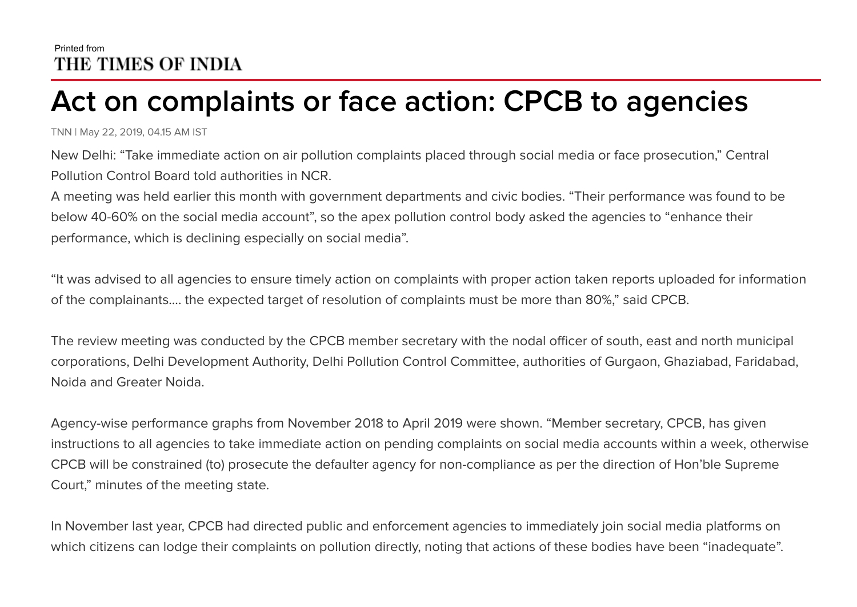## Printed from THE TIMES OF INDIA

## **Act on complaints or face action: CPCB to agencies**

TNN | May 22, 2019, 04.15 AM IST

New Delhi: "Take immediate action on air pollution complaints placed through social media or face prosecution," Central Pollution Control Board told authorities in NCR.

A meeting was held earlier this month with government departments and civic bodies. "Their performance was found to be below 40-60% on the social media account", so the apex pollution control body asked the agencies to "enhance their performance, which is declining especially on social media".

"It was advised to all agencies to ensure timely action on complaints with proper action taken reports uploaded for information of the complainants.... the expected target of resolution of complaints must be more than 80%," said CPCB.

The review meeting was conducted by the CPCB member secretary with the nodal officer of south, east and north municipal corporations, Delhi Development Authority, Delhi Pollution Control Committee, authorities of Gurgaon, Ghaziabad, Faridabad, Noida and Greater Noida.

Agency-wise performance graphs from November 2018 to April 2019 were shown. "Member secretary, CPCB, has given instructions to all agencies to take immediate action on pending complaints on social media accounts within a week, otherwise CPCB will be constrained (to) prosecute the defaulter agency for non-compliance as per the direction of Hon'ble Supreme Court," minutes of the meeting state.

In November last year, CPCB had directed public and enforcement agencies to immediately join social media platforms on which citizens can lodge their complaints on pollution directly, noting that actions of these bodies have been "inadequate".